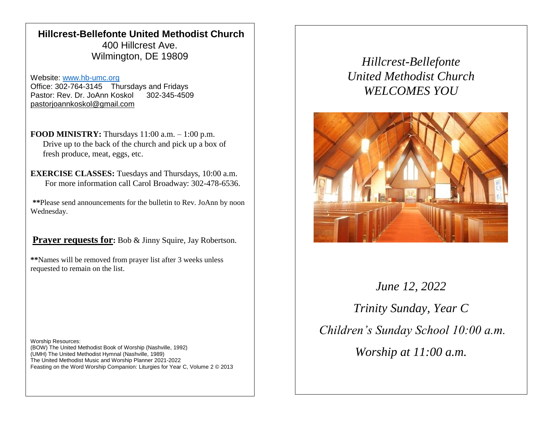## **Hillcrest-Bellefonte United Methodist Church** 400 Hillcrest Ave. Wilmington, DE 19809

Website: [www.hb-umc.org](http://www.hb-umc.org/) Office: 302-764-3145 Thursdays and Fridays Pastor: Rev. Dr. JoAnn Koskol 302-345-4509 [pastorjoannkoskol@gmail.com](mailto:pastorjoannkoskol@gmail.com)

**FOOD MINISTRY:** Thursdays 11:00 a.m. – 1:00 p.m. Drive up to the back of the church and pick up a box of fresh produce, meat, eggs, etc.

**EXERCISE CLASSES:** Tuesdays and Thursdays, 10:00 a.m. For more information call Carol Broadway: 302-478-6536.

**\*\***Please send announcements for the bulletin to Rev. JoAnn by noon Wednesday.

**Prayer requests for:** Bob & Jinny Squire, Jay Robertson.

**\*\***Names will be removed from prayer list after 3 weeks unless requested to remain on the list.

Worship Resources: (BOW) The United Methodist Book of Worship (Nashville, 1992) (UMH) The United Methodist Hymnal (Nashville, 1989) The United Methodist Music and Worship Planner 2021-2022 Feasting on the Word Worship Companion: Liturgies for Year C, Volume 2 © 2013

*Hillcrest-Bellefonte United Methodist Church WELCOMES YOU*



*June 12, 2022 Trinity Sunday, Year C Children's Sunday School 10:00 a.m. Worship at 11:00 a.m.*